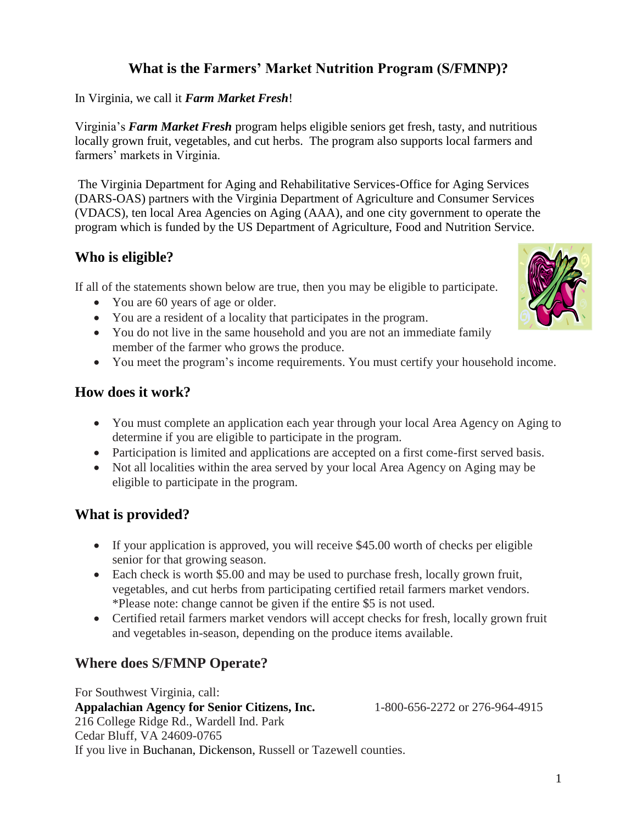# **What is the Farmers' Market Nutrition Program (S/FMNP)?**

In Virginia, we call it *Farm Market Fresh*!

Virginia's *Farm Market Fresh* program helps eligible seniors get fresh, tasty, and nutritious locally grown fruit, vegetables, and cut herbs. The program also supports local farmers and farmers' markets in Virginia.

The Virginia Department for Aging and Rehabilitative Services-Office for Aging Services (DARS-OAS) partners with the Virginia Department of Agriculture and Consumer Services (VDACS), ten local Area Agencies on Aging (AAA), and one city government to operate the program which is funded by the US Department of Agriculture, Food and Nutrition Service.

## **Who is eligible?**

If all of the statements shown below are true, then you may be eligible to participate.

- You are 60 years of age or older.
- You are a resident of a locality that participates in the program.
- You do not live in the same household and you are not an immediate family member of the farmer who grows the produce.
- You meet the program's income requirements. You must certify your household income.

### **How does it work?**

- You must complete an application each year through your local Area Agency on Aging to determine if you are eligible to participate in the program.
- Participation is limited and applications are accepted on a first come-first served basis.
- Not all localities within the area served by your local Area Agency on Aging may be eligible to participate in the program.

## **What is provided?**

- If your application is approved, you will receive \$45.00 worth of checks per eligible senior for that growing season.
- Each check is worth \$5.00 and may be used to purchase fresh, locally grown fruit, vegetables, and cut herbs from participating certified retail farmers market vendors. \*Please note: change cannot be given if the entire \$5 is not used.
- Certified retail farmers market vendors will accept checks for fresh, locally grown fruit and vegetables in-season, depending on the produce items available.

## **Where does S/FMNP Operate?**

For Southwest Virginia, call: **Appalachian Agency for Senior Citizens, Inc.** 1-800-656-2272 or 276-964-4915 216 College Ridge Rd., Wardell Ind. Park Cedar Bluff, VA 24609-0765 If you live in Buchanan, Dickenson, Russell or Tazewell counties.

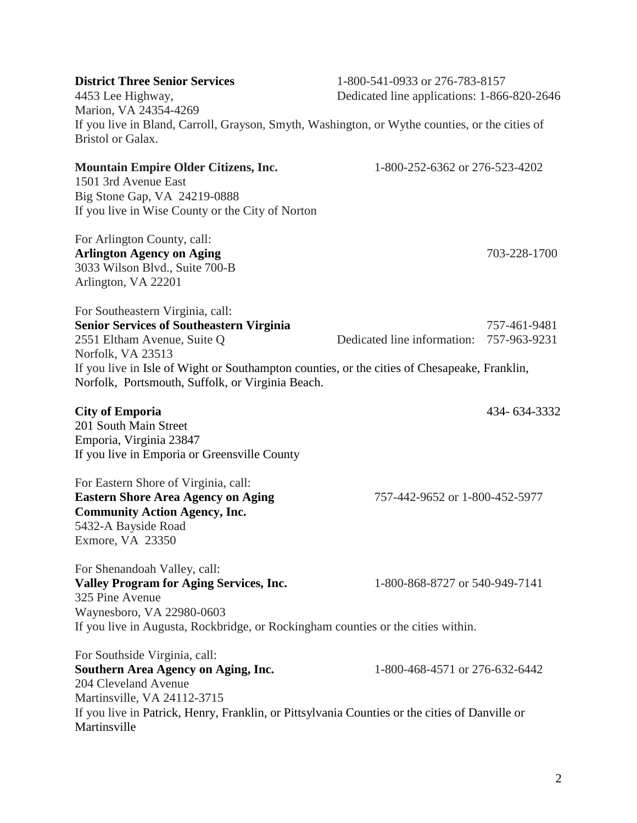| <b>District Three Senior Services</b><br>4453 Lee Highway,<br>Marion, VA 24354-4269                                                                                                                                                           | 1-800-541-0933 or 276-783-8157<br>Dedicated line applications: 1-866-820-2646 |                              |
|-----------------------------------------------------------------------------------------------------------------------------------------------------------------------------------------------------------------------------------------------|-------------------------------------------------------------------------------|------------------------------|
| If you live in Bland, Carroll, Grayson, Smyth, Washington, or Wythe counties, or the cities of<br><b>Bristol or Galax.</b>                                                                                                                    |                                                                               |                              |
| <b>Mountain Empire Older Citizens, Inc.</b><br>1501 3rd Avenue East<br>Big Stone Gap, VA 24219-0888<br>If you live in Wise County or the City of Norton                                                                                       | 1-800-252-6362 or 276-523-4202                                                |                              |
| For Arlington County, call:<br><b>Arlington Agency on Aging</b><br>3033 Wilson Blvd., Suite 700-B<br>Arlington, VA 22201                                                                                                                      |                                                                               | 703-228-1700                 |
| For Southeastern Virginia, call:<br><b>Senior Services of Southeastern Virginia</b><br>2551 Eltham Avenue, Suite Q<br>Norfolk, VA 23513<br>If you live in Isle of Wight or Southampton counties, or the cities of Chesapeake, Franklin,       | Dedicated line information:                                                   | 757-461-9481<br>757-963-9231 |
| Norfolk, Portsmouth, Suffolk, or Virginia Beach.                                                                                                                                                                                              |                                                                               |                              |
| <b>City of Emporia</b><br>201 South Main Street<br>Emporia, Virginia 23847<br>If you live in Emporia or Greensville County                                                                                                                    |                                                                               | 434-634-3332                 |
| For Eastern Shore of Virginia, call:<br><b>Eastern Shore Area Agency on Aging</b><br><b>Community Action Agency, Inc.</b><br>5432-A Bayside Road<br>Exmore, VA 23350                                                                          | 757-442-9652 or 1-800-452-5977                                                |                              |
| For Shenandoah Valley, call:<br><b>Valley Program for Aging Services, Inc.</b><br>325 Pine Avenue<br>Waynesboro, VA 22980-0603<br>If you live in Augusta, Rockbridge, or Rockingham counties or the cities within.                            | 1-800-868-8727 or 540-949-7141                                                |                              |
| For Southside Virginia, call:<br>Southern Area Agency on Aging, Inc.<br>204 Cleveland Avenue<br>Martinsville, VA 24112-3715<br>If you live in Patrick, Henry, Franklin, or Pittsylvania Counties or the cities of Danville or<br>Martinsville | 1-800-468-4571 or 276-632-6442                                                |                              |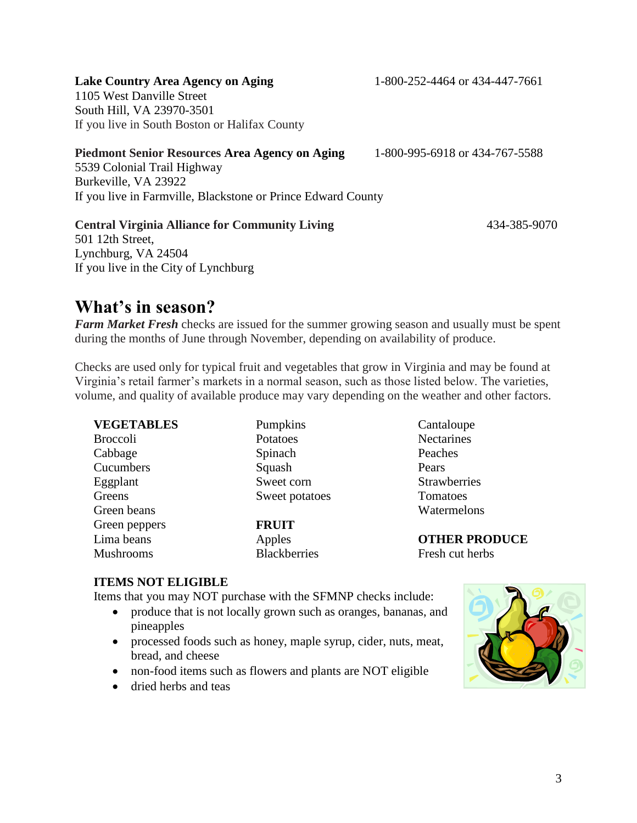3

**Lake Country Area Agency on Aging** 1-800-252-4464 or 434-447-7661

1105 West Danville Street

South Hill, VA 23970-3501 If you live in South Boston or Halifax County

**Piedmont Senior Resources Area Agency on Aging** 1-800-995-6918 or 434-767-5588

5539 Colonial Trail Highway Burkeville, VA 23922 If you live in Farmville, Blackstone or Prince Edward County

#### **Central Virginia Alliance for Community Living** 434-385-9070

501 12th Street, Lynchburg, VA 24504 If you live in the City of Lynchburg

# **What's in season?**

*Farm Market Fresh* checks are issued for the summer growing season and usually must be spent during the months of June through November, depending on availability of produce.

Checks are used only for typical fruit and vegetables that grow in Virginia and may be found at Virginia's retail farmer's markets in a normal season, such as those listed below. The varieties, volume, and quality of available produce may vary depending on the weather and other factors.

| <b>VEGETABLES</b> | Pumpkins            | Cantaloupe           |
|-------------------|---------------------|----------------------|
| <b>Broccoli</b>   | Potatoes            | Nectarines           |
| Cabbage           | Spinach             | Peaches              |
| Cucumbers         | Squash              | Pears                |
| Eggplant          | Sweet corn          | Strawberries         |
| Greens            | Sweet potatoes      | Tomatoes             |
| Green beans       |                     | Watermelons          |
| Green peppers     | <b>FRUIT</b>        |                      |
| Lima beans        | Apples              | <b>OTHER PRODUCE</b> |
| <b>Mushrooms</b>  | <b>Blackberries</b> | Fresh cut herbs      |

#### **ITEMS NOT ELIGIBLE**

Items that you may NOT purchase with the SFMNP checks include:

- produce that is not locally grown such as oranges, bananas, and pineapples
- processed foods such as honey, maple syrup, cider, nuts, meat, bread, and cheese
- non-food items such as flowers and plants are NOT eligible
- dried herbs and teas